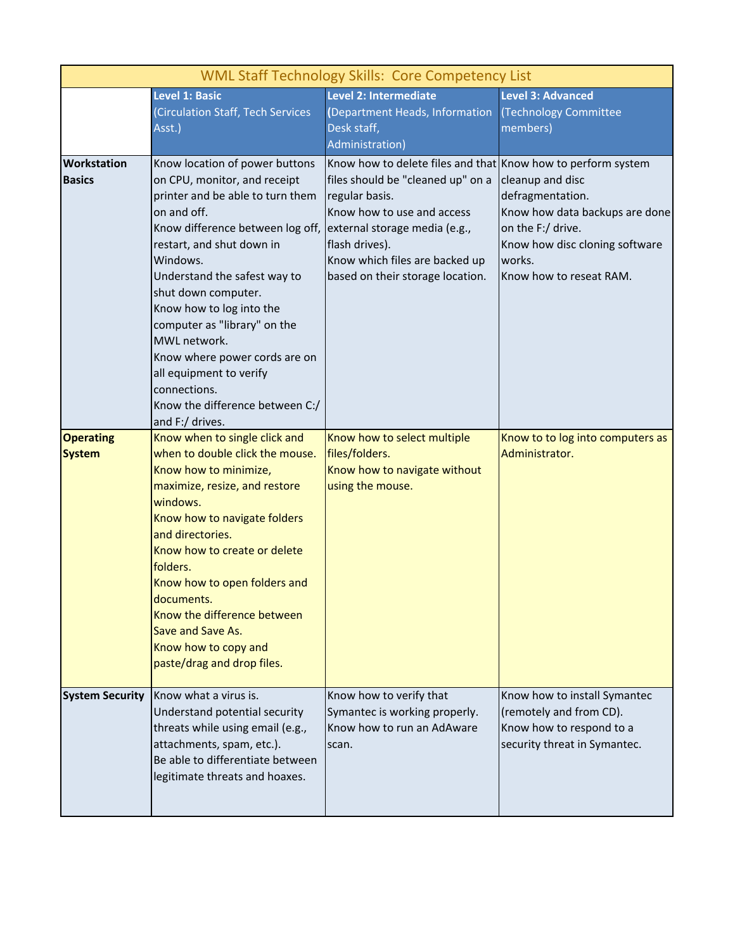| <b>WML Staff Technology Skills: Core Competency List</b> |                                                                                                                                                                                                                                                                                                                                                                                                                                                                     |                                                                                                                                                                                                                                                                            |                                                                                                                                                                    |  |
|----------------------------------------------------------|---------------------------------------------------------------------------------------------------------------------------------------------------------------------------------------------------------------------------------------------------------------------------------------------------------------------------------------------------------------------------------------------------------------------------------------------------------------------|----------------------------------------------------------------------------------------------------------------------------------------------------------------------------------------------------------------------------------------------------------------------------|--------------------------------------------------------------------------------------------------------------------------------------------------------------------|--|
|                                                          | <b>Level 1: Basic</b><br>(Circulation Staff, Tech Services<br>Asst.)                                                                                                                                                                                                                                                                                                                                                                                                | Level 2: Intermediate<br>(Department Heads, Information<br>Desk staff,<br>Administration)                                                                                                                                                                                  | <b>Level 3: Advanced</b><br>(Technology Committee<br>members)                                                                                                      |  |
| <b>Workstation</b><br><b>Basics</b>                      | Know location of power buttons<br>on CPU, monitor, and receipt<br>printer and be able to turn them<br>on and off.<br>Know difference between log off,<br>restart, and shut down in<br>Windows.<br>Understand the safest way to<br>shut down computer.<br>Know how to log into the<br>computer as "library" on the<br>MWL network.<br>Know where power cords are on<br>all equipment to verify<br>connections.<br>Know the difference between C:/<br>and F:/ drives. | Know how to delete files and that Know how to perform system<br>files should be "cleaned up" on a<br>regular basis.<br>Know how to use and access<br>external storage media (e.g.,<br>flash drives).<br>Know which files are backed up<br>based on their storage location. | cleanup and disc<br>defragmentation.<br>Know how data backups are done<br>on the F:/ drive.<br>Know how disc cloning software<br>works.<br>Know how to reseat RAM. |  |
| <b>Operating</b><br><b>System</b>                        | Know when to single click and<br>when to double click the mouse.<br>Know how to minimize,<br>maximize, resize, and restore<br>windows.<br>Know how to navigate folders<br>and directories.<br>Know how to create or delete<br>folders.<br>Know how to open folders and<br>documents.<br>Know the difference between<br>Save and Save As.<br>Know how to copy and<br>paste/drag and drop files.                                                                      | Know how to select multiple<br>files/folders.<br>Know how to navigate without<br>using the mouse.                                                                                                                                                                          | Know to to log into computers as<br>Administrator.                                                                                                                 |  |
| <b>System Security</b>                                   | Know what a virus is.<br>Understand potential security<br>threats while using email (e.g.,<br>attachments, spam, etc.).<br>Be able to differentiate between<br>legitimate threats and hoaxes.                                                                                                                                                                                                                                                                       | Know how to verify that<br>Symantec is working properly.<br>Know how to run an AdAware<br>scan.                                                                                                                                                                            | Know how to install Symantec<br>(remotely and from CD).<br>Know how to respond to a<br>security threat in Symantec.                                                |  |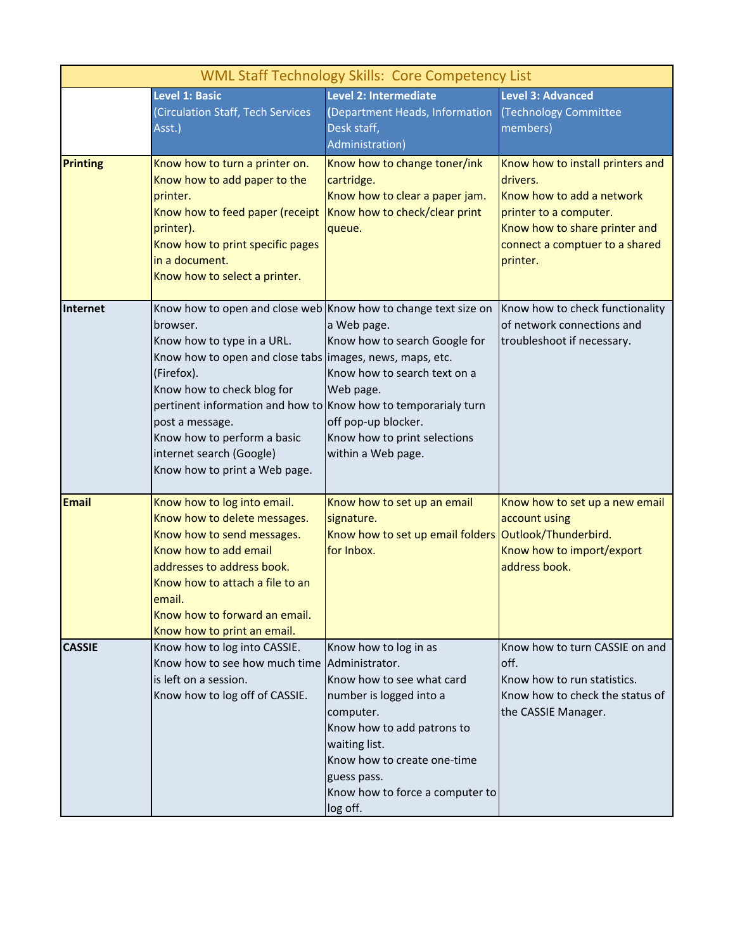| <b>WML Staff Technology Skills: Core Competency List</b> |                                                                                                                                                                                                                                                                                                                                                                                                   |                                                                                                                                                                                                                                                          |                                                                                                                                                                                    |  |  |
|----------------------------------------------------------|---------------------------------------------------------------------------------------------------------------------------------------------------------------------------------------------------------------------------------------------------------------------------------------------------------------------------------------------------------------------------------------------------|----------------------------------------------------------------------------------------------------------------------------------------------------------------------------------------------------------------------------------------------------------|------------------------------------------------------------------------------------------------------------------------------------------------------------------------------------|--|--|
|                                                          | <b>Level 1: Basic</b><br>(Circulation Staff, Tech Services<br>Asst.)                                                                                                                                                                                                                                                                                                                              | Level 2: Intermediate<br>(Department Heads, Information<br>Desk staff,<br>Administration)                                                                                                                                                                | <b>Level 3: Advanced</b><br>(Technology Committee<br>members)                                                                                                                      |  |  |
| <b>Printing</b>                                          | Know how to turn a printer on.<br>Know how to add paper to the<br>printer.<br>Know how to feed paper (receipt<br>printer).<br>Know how to print specific pages<br>in a document.<br>Know how to select a printer.                                                                                                                                                                                 | Know how to change toner/ink<br>cartridge.<br>Know how to clear a paper jam.<br>Know how to check/clear print<br>queue.                                                                                                                                  | Know how to install printers and<br>drivers.<br>Know how to add a network<br>printer to a computer.<br>Know how to share printer and<br>connect a comptuer to a shared<br>printer. |  |  |
| Internet                                                 | Know how to open and close web Know how to change text size on<br>browser.<br>Know how to type in a URL.<br>Know how to open and close tabs images, news, maps, etc.<br>(Firefox).<br>Know how to check blog for<br>pertinent information and how to Know how to temporarialy turn<br>post a message.<br>Know how to perform a basic<br>internet search (Google)<br>Know how to print a Web page. | a Web page.<br>Know how to search Google for<br>Know how to search text on a<br>Web page.<br>off pop-up blocker.<br>Know how to print selections<br>within a Web page.                                                                                   | Know how to check functionality<br>of network connections and<br>troubleshoot if necessary.                                                                                        |  |  |
| <b>Email</b>                                             | Know how to log into email.<br>Know how to delete messages.<br>Know how to send messages.<br>Know how to add email<br>addresses to address book.<br>Know how to attach a file to an<br>email.<br>Know how to forward an email.<br>Know how to print an email.                                                                                                                                     | Know how to set up an email<br>signature.<br>Know how to set up email folders<br>for Inbox.                                                                                                                                                              | Know how to set up a new email<br>account using<br>Outlook/Thunderbird.<br>Know how to import/export<br>address book.                                                              |  |  |
| <b>CASSIE</b>                                            | Know how to log into CASSIE.<br>Know how to see how much time<br>is left on a session.<br>Know how to log off of CASSIE.                                                                                                                                                                                                                                                                          | Know how to log in as<br>Administrator.<br>Know how to see what card<br>number is logged into a<br>computer.<br>Know how to add patrons to<br>waiting list.<br>Know how to create one-time<br>guess pass.<br>Know how to force a computer to<br>log off. | Know how to turn CASSIE on and<br>off.<br>Know how to run statistics.<br>Know how to check the status of<br>the CASSIE Manager.                                                    |  |  |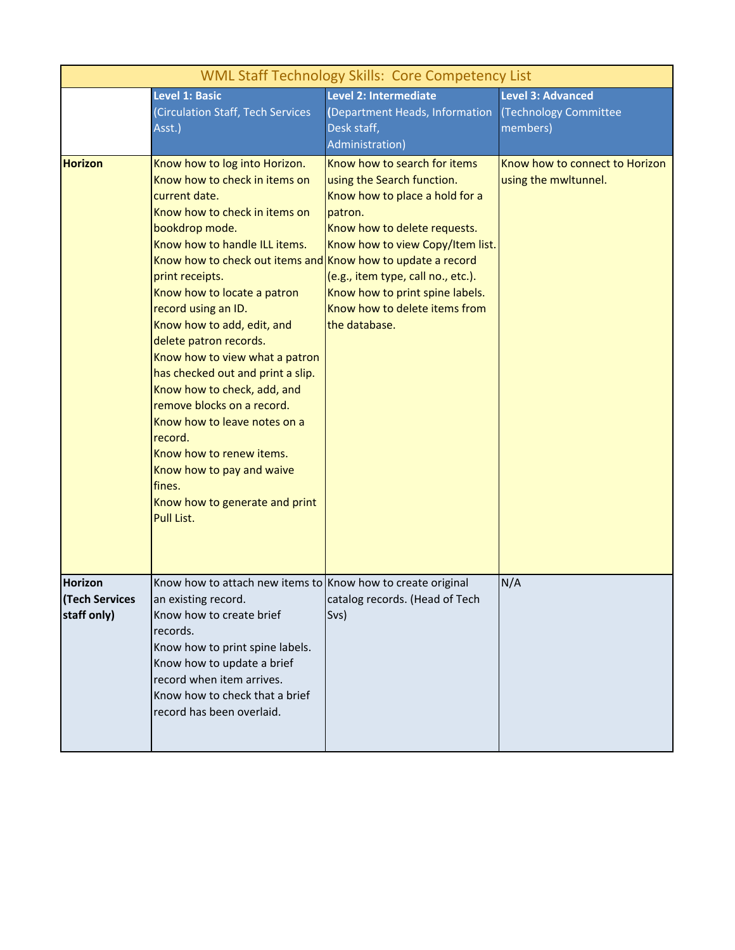| <b>WML Staff Technology Skills: Core Competency List</b> |                                                                                                                                                                                                                                                                                                                                                                                                                                                                                                                                                                                                                                                                       |                                                                                                                                                                                                                                                                                                        |                                                               |  |  |
|----------------------------------------------------------|-----------------------------------------------------------------------------------------------------------------------------------------------------------------------------------------------------------------------------------------------------------------------------------------------------------------------------------------------------------------------------------------------------------------------------------------------------------------------------------------------------------------------------------------------------------------------------------------------------------------------------------------------------------------------|--------------------------------------------------------------------------------------------------------------------------------------------------------------------------------------------------------------------------------------------------------------------------------------------------------|---------------------------------------------------------------|--|--|
|                                                          | <b>Level 1: Basic</b><br>(Circulation Staff, Tech Services<br>Asst.)                                                                                                                                                                                                                                                                                                                                                                                                                                                                                                                                                                                                  | Level 2: Intermediate<br>(Department Heads, Information<br>Desk staff,<br>Administration)                                                                                                                                                                                                              | <b>Level 3: Advanced</b><br>(Technology Committee<br>members) |  |  |
| <b>Horizon</b>                                           | Know how to log into Horizon.<br>Know how to check in items on<br>current date.<br>Know how to check in items on<br>bookdrop mode.<br>Know how to handle ILL items.<br>Know how to check out items and Know how to update a record<br>print receipts.<br>Know how to locate a patron<br>record using an ID.<br>Know how to add, edit, and<br>delete patron records.<br>Know how to view what a patron<br>has checked out and print a slip.<br>Know how to check, add, and<br>remove blocks on a record.<br>Know how to leave notes on a<br>record.<br>Know how to renew items.<br>Know how to pay and waive<br>fines.<br>Know how to generate and print<br>Pull List. | Know how to search for items<br>using the Search function.<br>Know how to place a hold for a<br>patron.<br>Know how to delete requests.<br>Know how to view Copy/Item list.<br>(e.g., item type, call no., etc.).<br>Know how to print spine labels.<br>Know how to delete items from<br>the database. | Know how to connect to Horizon<br>using the mwltunnel.        |  |  |
| <b>Horizon</b><br><b>Tech Services</b><br>staff only)    | Know how to attach new items to Know how to create original<br>an existing record.<br>Know how to create brief<br>records.<br>Know how to print spine labels.<br>Know how to update a brief<br>record when item arrives.<br>Know how to check that a brief<br>record has been overlaid.                                                                                                                                                                                                                                                                                                                                                                               | catalog records. (Head of Tech<br>Svs)                                                                                                                                                                                                                                                                 | N/A                                                           |  |  |